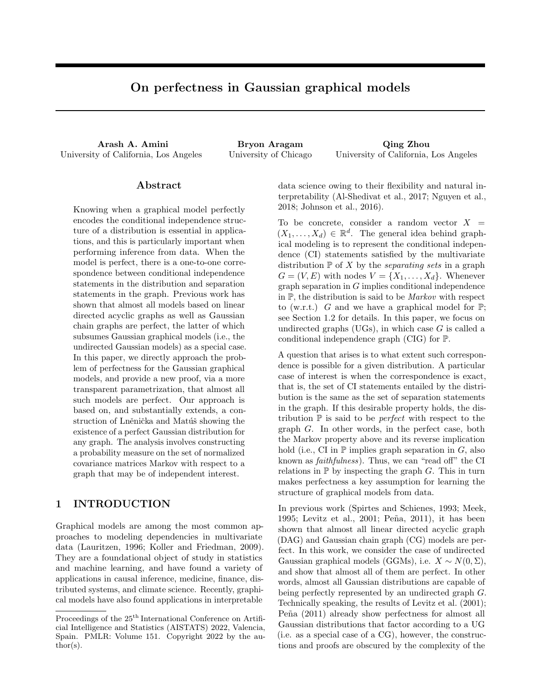# On perfectness in Gaussian graphical models

Arash A. Amini Bryon Aragam Qing Zhou University of California, Los Angeles University of Chicago University of California, Los Angeles

# Abstract

Knowing when a graphical model perfectly encodes the conditional independence structure of a distribution is essential in applications, and this is particularly important when performing inference from data. When the model is perfect, there is a one-to-one correspondence between conditional independence statements in the distribution and separation statements in the graph. Previous work has shown that almost all models based on linear directed acyclic graphs as well as Gaussian chain graphs are perfect, the latter of which subsumes Gaussian graphical models (i.e., the undirected Gaussian models) as a special case. In this paper, we directly approach the problem of perfectness for the Gaussian graphical models, and provide a new proof, via a more transparent parametrization, that almost all such models are perfect. Our approach is based on, and substantially extends, a construction of Lněnička and Matúš showing the existence of a perfect Gaussian distribution for any graph. The analysis involves constructing a probability measure on the set of normalized covariance matrices Markov with respect to a graph that may be of independent interest.

# 1 INTRODUCTION

Graphical models are among the most common approaches to modeling dependencies in multivariate data (Lauritzen, 1996; Koller and Friedman, 2009). They are a foundational object of study in statistics and machine learning, and have found a variety of applications in causal inference, medicine, finance, distributed systems, and climate science. Recently, graphical models have also found applications in interpretable data science owing to their flexibility and natural interpretability (Al-Shedivat et al., 2017; Nguyen et al., 2018; Johnson et al., 2016).

To be concrete, consider a random vector  $X =$  $(X_1, \ldots, X_d) \in \mathbb{R}^d$ . The general idea behind graphical modeling is to represent the conditional independence (CI) statements satisfied by the multivariate distribution  $P$  of X by the *separating sets* in a graph  $G = (V, E)$  with nodes  $V = \{X_1, \ldots, X_d\}$ . Whenever graph separation in G implies conditional independence in  $\mathbb{P}$ , the distribution is said to be *Markov* with respect to (w.r.t.) G and we have a graphical model for  $\mathbb{P}$ ; see Section 1.2 for details. In this paper, we focus on undirected graphs  $(UGs)$ , in which case G is called a conditional independence graph (CIG) for P.

A question that arises is to what extent such correspondence is possible for a given distribution. A particular case of interest is when the correspondence is exact, that is, the set of CI statements entailed by the distribution is the same as the set of separation statements in the graph. If this desirable property holds, the distribution  $\mathbb P$  is said to be *perfect* with respect to the graph G. In other words, in the perfect case, both the Markov property above and its reverse implication hold (i.e., CI in  $\mathbb P$  implies graph separation in G, also known as faithfulness). Thus, we can "read off" the CI relations in  $\mathbb P$  by inspecting the graph G. This in turn makes perfectness a key assumption for learning the structure of graphical models from data.

In previous work (Spirtes and Schienes, 1993; Meek, 1995; Levitz et al., 2001; Peña, 2011), it has been shown that almost all linear directed acyclic graph (DAG) and Gaussian chain graph (CG) models are perfect. In this work, we consider the case of undirected Gaussian graphical models (GGMs), i.e.  $X \sim N(0, \Sigma)$ , and show that almost all of them are perfect. In other words, almost all Gaussian distributions are capable of being perfectly represented by an undirected graph G. Technically speaking, the results of Levitz et al. (2001); Peña (2011) already show perfectness for almost all Gaussian distributions that factor according to a UG (i.e. as a special case of a CG), however, the constructions and proofs are obscured by the complexity of the

Proceedings of the  $25^{\text{th}}$  International Conference on Artificial Intelligence and Statistics (AISTATS) 2022, Valencia, Spain. PMLR: Volume 151. Copyright 2022 by the au- $\text{thor}(s)$ .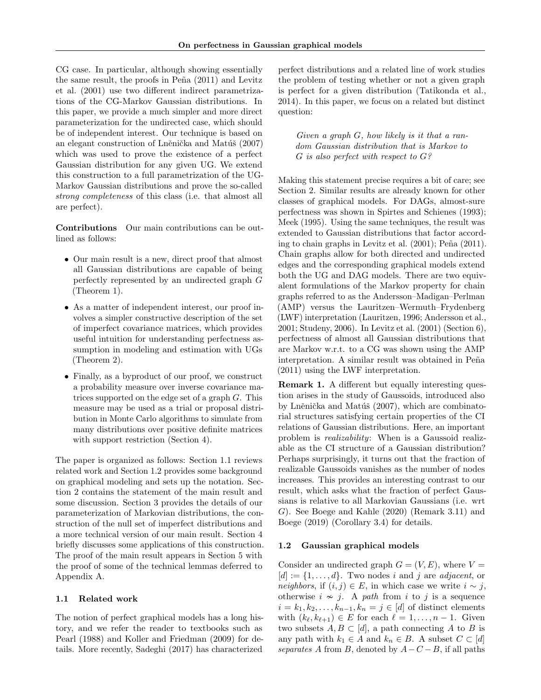CG case. In particular, although showing essentially the same result, the proofs in Peña  $(2011)$  and Levitz et al. (2001) use two different indirect parametrizations of the CG-Markov Gaussian distributions. In this paper, we provide a much simpler and more direct parameterization for the undirected case, which should be of independent interest. Our technique is based on an elegant construction of Lněnička and Matúš (2007) which was used to prove the existence of a perfect Gaussian distribution for any given UG. We extend this construction to a full parametrization of the UG-Markov Gaussian distributions and prove the so-called strong completeness of this class (i.e. that almost all are perfect).

Contributions Our main contributions can be outlined as follows:

- Our main result is a new, direct proof that almost all Gaussian distributions are capable of being perfectly represented by an undirected graph G (Theorem 1).
- As a matter of independent interest, our proof involves a simpler constructive description of the set of imperfect covariance matrices, which provides useful intuition for understanding perfectness assumption in modeling and estimation with UGs (Theorem 2).
- Finally, as a byproduct of our proof, we construct a probability measure over inverse covariance matrices supported on the edge set of a graph G. This measure may be used as a trial or proposal distribution in Monte Carlo algorithms to simulate from many distributions over positive definite matrices with support restriction (Section 4).

The paper is organized as follows: Section 1.1 reviews related work and Section 1.2 provides some background on graphical modeling and sets up the notation. Section 2 contains the statement of the main result and some discussion. Section 3 provides the details of our parameterization of Markovian distributions, the construction of the null set of imperfect distributions and a more technical version of our main result. Section 4 briefly discusses some applications of this construction. The proof of the main result appears in Section 5 with the proof of some of the technical lemmas deferred to Appendix A.

#### 1.1 Related work

The notion of perfect graphical models has a long history, and we refer the reader to textbooks such as Pearl (1988) and Koller and Friedman (2009) for details. More recently, Sadeghi (2017) has characterized perfect distributions and a related line of work studies the problem of testing whether or not a given graph is perfect for a given distribution (Tatikonda et al., 2014). In this paper, we focus on a related but distinct question:

Given a graph G, how likely is it that a random Gaussian distribution that is Markov to  $G$  is also perfect with respect to  $G$ ?

Making this statement precise requires a bit of care; see Section 2. Similar results are already known for other classes of graphical models. For DAGs, almost-sure perfectness was shown in Spirtes and Schienes (1993); Meek (1995). Using the same techniques, the result was extended to Gaussian distributions that factor according to chain graphs in Levitz et al.  $(2001)$ ; Peña  $(2011)$ . Chain graphs allow for both directed and undirected edges and the corresponding graphical models extend both the UG and DAG models. There are two equivalent formulations of the Markov property for chain graphs referred to as the Andersson–Madigan–Perlman (AMP) versus the Lauritzen–Wermuth–Frydenberg (LWF) interpretation (Lauritzen, 1996; Andersson et al., 2001; Studeny, 2006). In Levitz et al. (2001) (Section 6), perfectness of almost all Gaussian distributions that are Markov w.r.t. to a CG was shown using the AMP interpretation. A similar result was obtained in Peña (2011) using the LWF interpretation.

Remark 1. A different but equally interesting question arises in the study of Gaussoids, introduced also by Lněnička and Matúš  $(2007)$ , which are combinatorial structures satisfying certain properties of the CI relations of Gaussian distributions. Here, an important problem is realizability: When is a Gaussoid realizable as the CI structure of a Gaussian distribution? Perhaps surprisingly, it turns out that the fraction of realizable Gaussoids vanishes as the number of nodes increases. This provides an interesting contrast to our result, which asks what the fraction of perfect Gaussians is relative to all Markovian Gaussians (i.e. wrt G). See Boege and Kahle (2020) (Remark 3.11) and Boege (2019) (Corollary 3.4) for details.

#### 1.2 Gaussian graphical models

Consider an undirected graph  $G = (V, E)$ , where  $V =$  $[d] := \{1, \ldots, d\}$ . Two nodes i and j are *adjacent*, or neighbors, if  $(i, j) \in E$ , in which case we write  $i \sim j$ , otherwise  $i \nsim j$ . A path from i to j is a sequence  $i = k_1, k_2, \ldots, k_{n-1}, k_n = j \in [d]$  of distinct elements with  $(k_{\ell}, k_{\ell+1}) \in E$  for each  $\ell = 1, \ldots, n - 1$ . Given two subsets  $A, B \subset [d]$ , a path connecting A to B is any path with  $k_1 \in A$  and  $k_n \in B$ . A subset  $C \subset [d]$ separates A from B, denoted by  $A-C-B$ , if all paths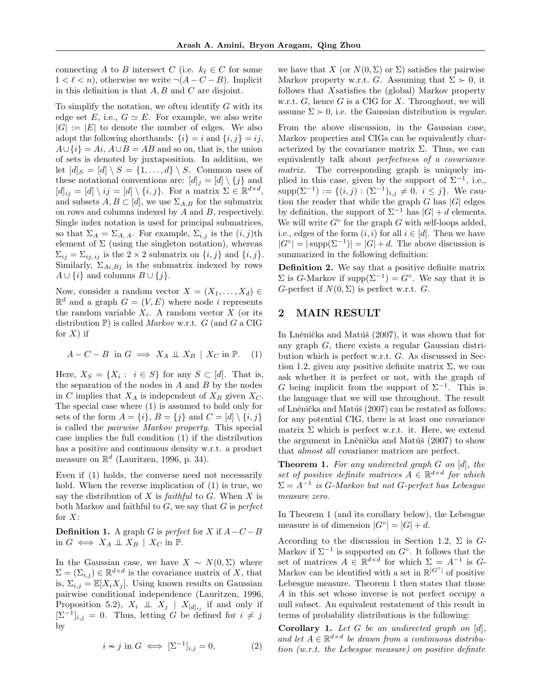connecting A to B intersect C (i.e.  $k_{\ell} \in C$  for some  $1 < \ell < n$ , otherwise we write  $\neg(A - C - B)$ . Implicit in this definition is that  $A, B$  and  $C$  are disjoint.

To simplify the notation, we often identify  $G$  with its edge set E, i.e.,  $G \simeq E$ . For example, we also write  $|G| := |E|$  to denote the number of edges. We also adopt the following shorthands:  $\{i\} = i$  and  $\{i, j\} = ij$ ,  $A\cup\{i\} = Ai$ ,  $A\cup B = AB$  and so on, that is, the union of sets is denoted by juxtaposition. In addition, we let  $[d]_S = [d] \setminus S = \{1, \ldots, d\} \setminus S$ . Common uses of these notational conventions are:  $[d]_i = [d] \setminus \{j\}$  and  $[d]_{ij} = [d] \setminus ij = [d] \setminus \{i, j\}.$  For a matrix  $\Sigma \in \mathbb{R}^{d \times d}$ , and subsets  $A, B \subset [d]$ , we use  $\Sigma_{A,B}$  for the submatrix on rows and columns indexed by A and B, respectively. Single index notation is used for principal submatrices, so that  $\Sigma_A = \Sigma_{A, A}$ . For example,  $\Sigma_{i,j}$  is the  $(i, j)$ th element of  $\Sigma$  (using the singleton notation), whereas  $\Sigma_{ij} = \Sigma_{ij,ij}$  is the 2 × 2 submatrix on  $\{i, j\}$  and  $\{i, j\}$ . Similarly,  $\Sigma_{Ai,Bj}$  is the submatrix indexed by rows  $A \cup \{i\}$  and columns  $B \cup \{j\}$ .

Now, consider a random vector  $X = (X_1, \ldots, X_d) \in$  $\mathbb{R}^d$  and a graph  $G = (V, E)$  where node *i* represents the random variable  $X_i$ . A random vector X (or its distribution  $P$ ) is called *Markov* w.r.t. G (and G a CIG for  $X$ ) if

$$
A - C - B \text{ in } G \implies X_A \perp \!\!\!\perp X_B | X_C \text{ in } \mathbb{P}. \tag{1}
$$

Here,  $X_S = \{X_i : i \in S\}$  for any  $S \subset [d]$ . That is, the separation of the nodes in  $A$  and  $B$  by the nodes in C implies that  $X_A$  is independent of  $X_B$  given  $X_C$ . The special case where (1) is assumed to hold only for sets of the form  $A = \{i\}, B = \{j\}$  and  $C = [d] \setminus \{i, j\}$ is called the pairwise Markov property. This special case implies the full condition (1) if the distribution has a positive and continuous density w.r.t. a product measure on  $\mathbb{R}^d$  (Lauritzen, 1996, p. 34).

Even if (1) holds, the converse need not necessarily hold. When the reverse implication of (1) is true, we say the distribution of  $X$  is *faithful* to  $G$ . When  $X$  is both Markov and faithful to  $G$ , we say that  $G$  is *perfect* for  $X$ :

**Definition 1.** A graph G is perfect for X if  $A - C - B$ in  $G \iff X_A \perp \!\!\!\perp X_B \mid X_C$  in  $\mathbb{P}$ .

In the Gaussian case, we have  $X \sim N(0, \Sigma)$  where  $\Sigma = (\Sigma_{i,j}) \in \mathbb{R}^{d \times d}$  is the covariance matrix of X, that is,  $\Sigma_{i,j} = \mathbb{E}[X_i X_j]$ . Using known results on Gaussian pairwise conditional independence (Lauritzen, 1996, Proposition 5.2),  $X_i \perp \!\!\!\perp X_j | X_{[d]_{ij}}$  if and only if  $[\Sigma^{-1}]_{i,j} = 0$ . Thus, letting G be defined for  $i \neq j$ by

$$
i \nsim j \text{ in } G \iff [\Sigma^{-1}]_{i,j} = 0,\tag{2}
$$

we have that X (or  $N(0, \Sigma)$  or  $\Sigma$ ) satisfies the pairwise Markov property w.r.t. G. Assuming that  $\Sigma \succ 0$ , it follows that Xsatisfies the (global) Markov property w.r.t.  $G$ , hence  $G$  is a CIG for  $X$ . Throughout, we will assume  $\Sigma \succ 0$ , i.e. the Gaussian distribution is regular.

From the above discussion, in the Gaussian case, Markov properties and CIGs can be equivalently characterized by the covariance matrix  $\Sigma$ . Thus, we can equivalently talk about perfectness of a covariance matrix. The corresponding graph is uniquely implied in this case, given by the support of  $\Sigma^{-1}$ , i.e., supp $(\Sigma^{-1}) := \{(i,j) : (\Sigma^{-1})_{i,j} \neq 0, i \leq j\}$ . We caution the reader that while the graph  $G$  has  $|G|$  edges by definition, the support of  $\Sigma^{-1}$  has  $|G| + d$  elements. We will write  $G^{\circ}$  for the graph G with self-loops added, i.e., edges of the form  $(i, i)$  for all  $i \in [d]$ . Then we have  $|G^{\circ}| = |\text{supp}(\Sigma^{-1})| = |G| + d$ . The above discussion is summarized in the following definition:

Definition 2. We say that a positive definite matrix  $\Sigma$  is G-Markov if supp $(\Sigma^{-1}) = G^{\circ}$ . We say that it is G-perfect if  $N(0, \Sigma)$  is perfect w.r.t. G.

# 2 MAIN RESULT

In Lněnička and Matúš (2007), it was shown that for any graph G, there exists a regular Gaussian distribution which is perfect w.r.t. G. As discussed in Section 1.2, given any positive definite matrix  $\Sigma$ , we can ask whether it is perfect or not, with the graph of G being implicit from the support of  $\Sigma^{-1}$ . This is the language that we will use throughout. The result of Lněnička and Matúš (2007) can be restated as follows: for any potential CIG, there is at least one covariance matrix  $\Sigma$  which is perfect w.r.t. it. Here, we extend the argument in Lněnička and Matúš (2007) to show that almost all covariance matrices are perfect.

**Theorem 1.** For any undirected graph  $G$  on  $[d]$ , the set of positive definite matrices  $A \in \mathbb{R}^{d \times d}$  for which  $\Sigma = A^{-1}$  is G-Markov but not G-perfect has Lebesgue measure zero.

In Theorem 1 (and its corollary below), the Lebesgue measure is of dimension  $|G^{\circ}| = |G| + d$ .

According to the discussion in Section 1.2,  $\Sigma$  is  $G$ -Markov if  $\Sigma^{-1}$  is supported on  $G^{\circ}$ . It follows that the set of matrices  $A \in \mathbb{R}^{d \times d}$  for which  $\Sigma = A^{-1}$  is  $G$ -Markov can be identified with a set in  $\mathbb{R}^{|G^{\circ}|}$  of positive Lebesgue measure. Theorem 1 then states that those A in this set whose inverse is not perfect occupy a null subset. An equivalent restatement of this result in terms of probability distributions is the following:

**Corollary 1.** Let  $G$  be an undirected graph on  $[d]$ , and let  $A \in \mathbb{R}^{d \times d}$  be drawn from a continuous distribution (w.r.t. the Lebesgue measure) on positive definite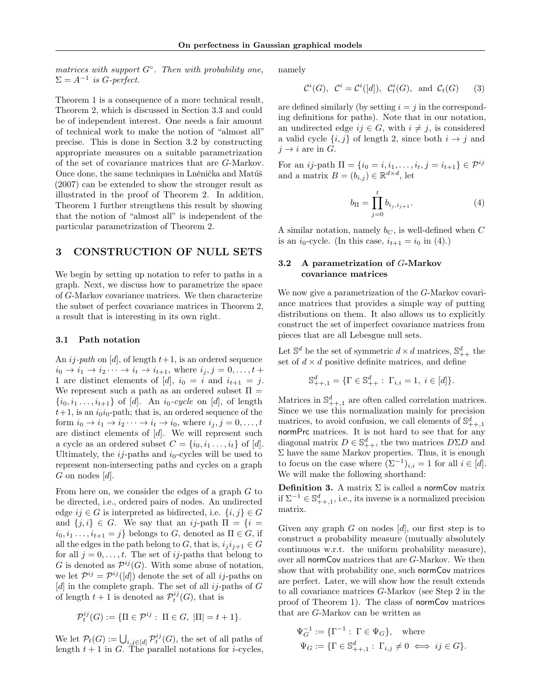matrices with support  $G^{\circ}$ . Then with probability one,  $\Sigma = A^{-1}$  is G-perfect.

Theorem 1 is a consequence of a more technical result, Theorem 2, which is discussed in Section 3.3 and could be of independent interest. One needs a fair amount of technical work to make the notion of "almost all" precise. This is done in Section 3.2 by constructing appropriate measures on a suitable parametrization of the set of covariance matrices that are G-Markov. Once done, the same techniques in Lněnička and Matúš (2007) can be extended to show the stronger result as illustrated in the proof of Theorem 2. In addition, Theorem 1 further strengthens this result by showing that the notion of "almost all" is independent of the particular parametrization of Theorem 2.

## 3 CONSTRUCTION OF NULL SETS

We begin by setting up notation to refer to paths in a graph. Next, we discuss how to parametrize the space of G-Markov covariance matrices. We then characterize the subset of perfect covariance matrices in Theorem 2, a result that is interesting in its own right.

#### 3.1 Path notation

ij

An  $ij$ -path on [d], of length  $t+1$ , is an ordered sequence  $i_0 \rightarrow i_1 \rightarrow i_2 \cdots \rightarrow i_t \rightarrow i_{t+1}$ , where  $i_j, j = 0, \ldots, t +$ 1 are distinct elements of [d],  $i_0 = i$  and  $i_{t+1} = j$ . We represent such a path as an ordered subset  $\Pi =$  $\{i_0, i_1, \ldots, i_{t+1}\}$  of [d]. An  $i_0$ -cycle on [d], of length  $t+1$ , is an  $i_0i_0$ -path; that is, an ordered sequence of the form  $i_0 \rightarrow i_1 \rightarrow i_2 \cdots \rightarrow i_t \rightarrow i_0$ , where  $i_j, j = 0, \ldots, t$ are distinct elements of [d]. We will represent such a cycle as an ordered subset  $C = \{i_0, i_1, \ldots, i_t\}$  of [d]. Ultimately, the  $i_j$ -paths and  $i_0$ -cycles will be used to represent non-intersecting paths and cycles on a graph  $G$  on nodes  $[d]$ .

From here on, we consider the edges of a graph G to be directed, i.e., ordered pairs of nodes. An undirected edge  $ij \in G$  is interpreted as bidirected, i.e.  $\{i, j\} \in G$ and  $\{j, i\} \in G$ . We say that an ij-path  $\Pi = \{i =$  $i_0, i_1, \ldots, i_{t+1} = j$  belongs to G, denoted as  $\Pi \in G$ , if all the edges in the path belong to G, that is,  $i_j i_{j+1} \in G$ for all  $j = 0, \ldots, t$ . The set of ij-paths that belong to G is denoted as  $\mathcal{P}^{ij}(G)$ . With some abuse of notation, we let  $\mathcal{P}^{ij} = \mathcal{P}^{ij}([d])$  denote the set of all *ij*-paths on [d] in the complete graph. The set of all  $ij$ -paths of G of length  $t+1$  is denoted as  $\mathcal{P}^{ij}_t(G)$ , that is

$$
\mathcal{P}^{ij}_t(G) := \{ \Pi \in \mathcal{P}^{ij} : \ \Pi \in G, \ |\Pi| = t + 1 \}.
$$

We let  $\mathcal{P}_t(G) := \bigcup_{i,j \in [d]} \mathcal{P}_t^{ij}(G)$ , the set of all paths of length  $t + 1$  in G. The parallel notations for *i*-cycles, namely

$$
\mathcal{C}^i(G), \ \mathcal{C}^i = \mathcal{C}^i([d]), \ \mathcal{C}^i_t(G), \text{ and } \mathcal{C}_t(G) \qquad (3)
$$

are defined similarly (by setting  $i = j$  in the corresponding definitions for paths). Note that in our notation, an undirected edge  $ij \in G$ , with  $i \neq j$ , is considered a valid cycle  $\{i, j\}$  of length 2, since both  $i \rightarrow j$  and  $j \rightarrow i$  are in G.

For an *ij*-path  $\Pi = \{i_0 = i, i_1, \ldots, i_t, j = i_{t+1}\} \in \mathcal{P}^{ij}$ and a matrix  $B = (b_{i,j}) \in \mathbb{R}^{d \times d}$ , let

$$
b_{\Pi} = \prod_{j=0}^{t} b_{i_j, i_{j+1}}.
$$
 (4)

A similar notation, namely  $b<sub>C</sub>$ , is well-defined when C is an  $i_0$ -cycle. (In this case,  $i_{t+1} = i_0$  in (4).)

## 3.2 A parametrization of G-Markov covariance matrices

We now give a parametrization of the G-Markov covariance matrices that provides a simple way of putting distributions on them. It also allows us to explicitly construct the set of imperfect covariance matrices from pieces that are all Lebesgue null sets.

Let  $\mathbb{S}^d$  be the set of symmetric  $d \times d$  matrices,  $\mathbb{S}^d_{++}$  the set of  $d \times d$  positive definite matrices, and define

$$
\mathbb{S}_{++,1}^d = \{ \Gamma \in \mathbb{S}_{++}^d : \ \Gamma_{i,i} = 1, \ i \in [d] \}.
$$

Matrices in  $\mathbb{S}^d_{++,1}$  are often called correlation matrices. Since we use this normalization mainly for precision matrices, to avoid confusion, we call elements of  $\mathbb{S}^d_{++,1}$ normPrc matrices. It is not hard to see that for any diagonal matrix  $D \in \mathbb{S}_{++}^d$ , the two matrices  $D\Sigma D$  and  $\Sigma$  have the same Markov properties. Thus, it is enough to focus on the case where  $(\Sigma^{-1})_{i,i} = 1$  for all  $i \in [d]$ . We will make the following shorthand:

**Definition 3.** A matrix  $\Sigma$  is called a normCov matrix if  $\Sigma^{-1}$  ∈  $\mathbb{S}^d_{++,1}$ , i.e., its inverse is a normalized precision matrix.

Given any graph  $G$  on nodes  $[d]$ , our first step is to construct a probability measure (mutually absolutely continuous w.r.t. the uniform probability measure), over all normCov matrices that are G-Markov. We then show that with probability one, such normCov matrices are perfect. Later, we will show how the result extends to all covariance matrices G-Markov (see Step 2 in the proof of Theorem 1). The class of normCov matrices that are G-Markov can be written as

$$
\Psi_G^{-1} := \{ \Gamma^{-1} : \Gamma \in \Psi_G \}, \text{ where}
$$
  

$$
\Psi_G := \{ \Gamma \in \mathbb{S}_{++,1}^d : \Gamma_{i,j} \neq 0 \iff ij \in G \}.
$$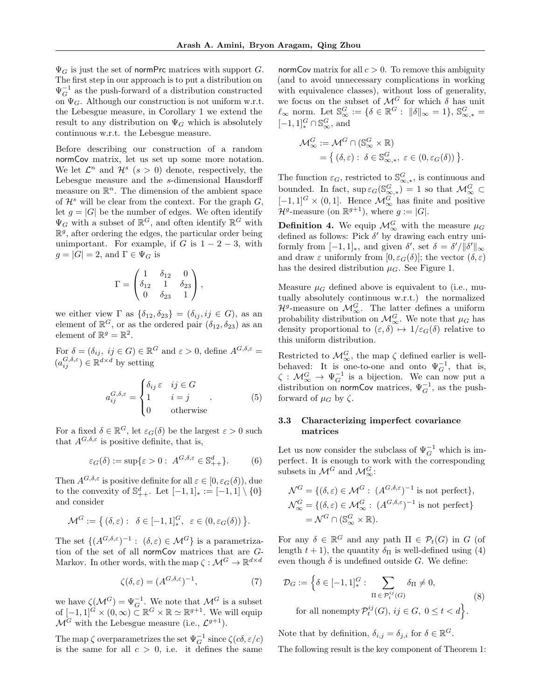$\Psi_G$  is just the set of normPrc matrices with support G. The first step in our approach is to put a distribution on  $\Psi_G^{-1}$  as the push-forward of a distribution constructed on  $\Psi_G$ . Although our construction is not uniform w.r.t. the Lebesgue measure, in Corollary 1 we extend the result to any distribution on  $\Psi_G$  which is absolutely continuous w.r.t. the Lebesgue measure.

Before describing our construction of a random normCov matrix, let us set up some more notation. We let  $\mathcal{L}^n$  and  $\mathcal{H}^s$   $(s > 0)$  denote, respectively, the Lebesgue measure and the s-dimensional Hausdorff measure on  $\mathbb{R}^n$ . The dimension of the ambient space of  $\mathcal{H}^s$  will be clear from the context. For the graph  $G$ , let  $g = |G|$  be the number of edges. We often identify  $\Psi_G$  with a subset of  $\mathbb{R}^G$ , and often identify  $\mathbb{R}^G$  with  $\mathbb{R}^g$ , after ordering the edges, the particular order being unimportant. For example, if G is  $1 - 2 - 3$ , with  $g = |G| = 2$ , and  $\Gamma \in \Psi_G$  is

$$
\Gamma = \begin{pmatrix} 1 & \delta_{12} & 0 \\ \delta_{12} & 1 & \delta_{23} \\ 0 & \delta_{23} & 1 \end{pmatrix},
$$

we either view  $\Gamma$  as  $\{\delta_{12}, \delta_{23}\} = (\delta_{ij}, ij \in G)$ , as an element of  $\mathbb{R}^G$ , or as the ordered pair  $(\delta_{12}, \delta_{23})$  as an element of  $\mathbb{R}^g = \mathbb{R}^2$ .

For  $\delta = (\delta_{ij}, i j \in G) \in \mathbb{R}^G$  and  $\varepsilon > 0$ , define  $A^{G, \delta, \varepsilon} =$  $(a_{ij}^{G,\delta,\varepsilon}) \in \mathbb{R}^{d \times d}$  by setting

$$
a_{ij}^{G,\delta,\varepsilon} = \begin{cases} \delta_{ij}\,\varepsilon & ij \in G \\ 1 & i = j \\ 0 & \text{otherwise} \end{cases} \tag{5}
$$

For a fixed  $\delta \in \mathbb{R}^G$ , let  $\varepsilon_G(\delta)$  be the largest  $\varepsilon > 0$  such that  $A^{G,\delta,\varepsilon}$  is positive definite, that is,

$$
\varepsilon_G(\delta) := \sup \{ \varepsilon > 0 : \ A^{G, \delta, \varepsilon} \in \mathbb{S}_{++}^d \}. \tag{6}
$$

Then  $A^{G,\delta,\varepsilon}$  is positive definite for all  $\varepsilon \in [0,\varepsilon_G(\delta)),$  due to the convexity of  $\mathbb{S}_{++}^d$ . Let  $[-1,1]_* := [-1,1] \setminus \{0\}$ and consider

$$
\mathcal{M}^G := \{ (\delta, \varepsilon) : \delta \in [-1, 1]_*^G, \ \varepsilon \in (0, \varepsilon_G(\delta)) \}.
$$

The set  $\{(A^{G,\delta,\varepsilon})^{-1}:\ (\delta,\varepsilon)\in\mathcal{M}^G\}$  is a parametrization of the set of all normCov matrices that are G-Markov. In other words, with the map  $\zeta : \mathcal{M}^G \to \mathbb{R}^{d \times d}$ 

$$
\zeta(\delta,\varepsilon) = (A^{G,\delta,\varepsilon})^{-1},\tag{7}
$$

we have  $\zeta(\mathcal{M}^G) = \Psi_G^{-1}$ . We note that  $\mathcal{M}^G$  is a subset of  $[-1,1]^{\mathring{G}} \times (0,\infty) \subset \mathbb{R}^{\mathring{G}} \times \mathbb{R} \simeq \mathbb{R}^{g+1}$ . We will equip  $\mathcal{M}^G$  with the Lebesgue measure (i.e.,  $\mathcal{L}^{g+1}$ ).

The map  $\zeta$  overparametrizes the set  $\Psi_G^{-1}$  since  $\zeta(c\delta, \varepsilon/c)$ is the same for all  $c > 0$ , i.e. it defines the same

normCov matrix for all  $c > 0$ . To remove this ambiguity (and to avoid unnecessary complications in working with equivalence classes), without loss of generality, we focus on the subset of  $\mathcal{M}^G$  for which  $\delta$  has unit  $\ell_{\infty}$  norm. Let  $\mathbb{S}_{\infty}^G := \{\delta \in \mathbb{R}^G : ||\delta||_{\infty} = 1\}, \, \mathbb{S}_{\infty,*}^G =$  $[-1,1]^G_* \cap \mathbb{S}^G_\infty,$  and

$$
\mathcal{M}_{\infty}^G := \mathcal{M}^G \cap (\mathbb{S}_{\infty}^G \times \mathbb{R})
$$
  
= { ( $\delta, \varepsilon$ ) :  $\delta \in \mathbb{S}_{\infty, *}^G$ ,  $\varepsilon \in (0, \varepsilon_G(\delta))$  }.

The function  $\varepsilon_G$ , restricted to  $\mathbb{S}^G_{\infty,*}$ , is continuous and bounded. In fact,  $\sup \varepsilon_G(\mathbb{S}^G_{\infty,*}) = 1$  so that  $\mathcal{M}^G_{\infty} \subset$  $[-1,1]^G \times (0,1]$ . Hence  $\mathcal{M}_{\infty}^G$  has finite and positive  $\mathcal{H}^g$ -measure (on  $\mathbb{R}^{g+1}$ ), where  $g := |G|$ .

**Definition 4.** We equip  $\mathcal{M}_{\infty}^G$  with the measure  $\mu_G$ defined as follows: Pick  $\delta'$  by drawing each entry uniformly from  $[-1,1]_*$ , and given  $\delta'$ , set  $\delta = \delta'/\|\delta'\|_{\infty}$ and draw  $\varepsilon$  uniformly from  $[0, \varepsilon_G(\delta)]$ ; the vector  $(\delta, \varepsilon)$ has the desired distribution  $\mu_G$ . See Figure 1.

Measure  $\mu_G$  defined above is equivalent to (i.e., mutually absolutely continuous w.r.t.) the normalized  $\mathcal{H}^g$ -measure on  $\mathcal{M}_{\infty}^G$ . The latter defines a uniform probability distribution on  $\mathcal{M}_{\infty}^G$ . We note that  $\mu_G$  has density proportional to  $(\varepsilon, \delta) \mapsto 1/\varepsilon_G(\delta)$  relative to this uniform distribution.

Restricted to  $\mathcal{M}_{\infty}^G$ , the map  $\zeta$  defined earlier is wellbehaved: It is one-to-one and onto  $\Psi_G^{-1}$ , that is,  $\zeta : \mathcal{M}_{\infty}^G \to \Psi_G^{-1}$  is a bijection. We can now put a distribution on normCov matrices,  $\Psi_G^{-1}$ , as the pushforward of  $\mu_G$  by  $\zeta$ .

## 3.3 Characterizing imperfect covariance matrices

Let us now consider the subclass of  $\Psi_G^{-1}$  which is imperfect. It is enough to work with the corresponding subsets in  $\mathcal{M}^G$  and  $\mathcal{M}^G_{\infty}$ :

$$
\mathcal{N}^G = \{ (\delta, \varepsilon) \in \mathcal{M}^G : (A^{G, \delta, \varepsilon})^{-1} \text{ is not perfect} \},\
$$
  

$$
\mathcal{N}^G_{\infty} = \{ (\delta, \varepsilon) \in \mathcal{M}^G_{\infty} : (A^{G, \delta, \varepsilon})^{-1} \text{ is not perfect} \}
$$
  

$$
= \mathcal{N}^G \cap (\mathbb{S}^G_{\infty} \times \mathbb{R}).
$$

For any  $\delta \in \mathbb{R}^G$  and any path  $\Pi \in \mathcal{P}_t(G)$  in G (of length  $t + 1$ ), the quantity  $\delta_{\Pi}$  is well-defined using (4) even though  $\delta$  is undefined outside G. We define:

$$
\mathcal{D}_G := \left\{ \delta \in [-1, 1]_*^G : \sum_{\Pi \in \mathcal{P}_t^{ij}(G)} \delta_{\Pi} \neq 0, \right\}
$$
\n
$$
\text{for all nonempty } \mathcal{P}_t^{ij}(G), \, ij \in G, \, 0 \le t < d \right\}.
$$
\n
$$
(8)
$$

Note that by definition,  $\delta_{i,j} = \delta_{j,i}$  for  $\delta \in \mathbb{R}^G$ .

The following result is the key component of Theorem 1: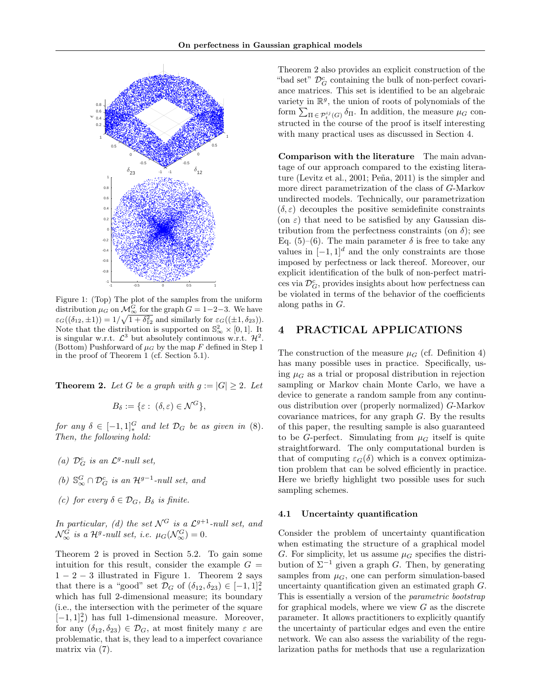

Figure 1: (Top) The plot of the samples from the uniform distribution  $\mu_G$  on  $\mathcal{M}_{\infty}^G$  for the graph  $G = 1-2-3$ . We have  $\varepsilon_G((\delta_{12}, \pm 1)) = 1/\sqrt{1 + \delta_{12}^2}$  and similarly for  $\varepsilon_G((\pm 1, \delta_{23}))$ . Note that the distribution is supported on  $\mathbb{S}_{\infty}^2 \times [0,1]$ . It is singular w.r.t.  $\mathcal{L}^3$  but absolutely continuous w.r.t.  $\mathcal{H}^2$ . (Bottom) Pushforward of  $\mu$ <sub>G</sub> by the map F defined in Step 1 in the proof of Theorem 1 (cf. Section 5.1).

**Theorem 2.** Let G be a graph with  $g := |G| \geq 2$ . Let

$$
B_{\delta} := \{ \varepsilon : (\delta, \varepsilon) \in \mathcal{N}^G \},
$$

for any  $\delta \in [-1,1]_*^G$  and let  $\mathcal{D}_G$  be as given in (8). Then, the following hold:

- (a)  $\mathcal{D}_G^c$  is an  $\mathcal{L}^g$ -null set,
- (b)  $\mathbb{S}_{\infty}^G \cap \mathcal{D}_G^c$  is an  $\mathcal{H}^{g-1}$ -null set, and
- (c) for every  $\delta \in \mathcal{D}_G$ ,  $B_{\delta}$  is finite.

In particular, (d) the set  $\mathcal{N}^G$  is a  $\mathcal{L}^{g+1}$ -null set, and  $\mathcal{N}_{\infty}^G$  is a H<sup>g</sup>-null set, i.e.  $\mu_G(\mathcal{N}_{\infty}^G)=0$ .

Theorem 2 is proved in Section 5.2. To gain some intuition for this result, consider the example  $G =$  $1-2-3$  illustrated in Figure 1. Theorem 2 says that there is a "good" set  $\mathcal{D}_G$  of  $(\delta_{12}, \delta_{23}) \in [-1, 1]^2_*$ which has full 2-dimensional measure; its boundary (i.e., the intersection with the perimeter of the square  $[-1, 1]^2_*$ ) has full 1-dimensional measure. Moreover, for any  $(\delta_{12}, \delta_{23}) \in \mathcal{D}_G$ , at most finitely many  $\varepsilon$  are problematic, that is, they lead to a imperfect covariance matrix via (7).

Theorem 2 also provides an explicit construction of the "bad set" $\mathcal{D}_G^c$  containing the bulk of non-perfect covariance matrices. This set is identified to be an algebraic variety in  $\mathbb{R}^g$ , the union of roots of polynomials of the form  $\sum_{\Pi \in \mathcal{P}_t^{ij}(G)} \delta_{\Pi}$ . In addition, the measure  $\mu_G$  constructed in the course of the proof is itself interesting with many practical uses as discussed in Section 4.

Comparison with the literature The main advantage of our approach compared to the existing literature (Levitz et al.,  $2001$ ; Peña,  $2011$ ) is the simpler and more direct parametrization of the class of G-Markov undirected models. Technically, our parametrization  $(\delta, \varepsilon)$  decouples the positive semidefinite constraints (on  $\varepsilon$ ) that need to be satisfied by any Gaussian distribution from the perfectness constraints (on  $\delta$ ); see Eq. (5)–(6). The main parameter  $\delta$  is free to take any values in  $[-1, 1]^d$  and the only constraints are those imposed by perfectness or lack thereof. Moreover, our explicit identification of the bulk of non-perfect matrices via  $\mathcal{D}_G^c$ , provides insights about how perfectness can be violated in terms of the behavior of the coefficients along paths in  $G$ .

# 4 PRACTICAL APPLICATIONS

The construction of the measure  $\mu$ <sub>G</sub> (cf. Definition 4) has many possible uses in practice. Specifically, using  $\mu$ <sup>G</sup> as a trial or proposal distribution in rejection sampling or Markov chain Monte Carlo, we have a device to generate a random sample from any continuous distribution over (properly normalized) G-Markov covariance matrices, for any graph  $G$ . By the results of this paper, the resulting sample is also guaranteed to be G-perfect. Simulating from  $\mu$ <sup>G</sup> itself is quite straightforward. The only computational burden is that of computing  $\varepsilon_G(\delta)$  which is a convex optimization problem that can be solved efficiently in practice. Here we briefly highlight two possible uses for such sampling schemes.

#### 4.1 Uncertainty quantification

Consider the problem of uncertainty quantification when estimating the structure of a graphical model G. For simplicity, let us assume  $\mu_G$  specifies the distribution of  $\Sigma^{-1}$  given a graph G. Then, by generating samples from  $\mu_G$ , one can perform simulation-based uncertainty quantification given an estimated graph G. This is essentially a version of the parametric bootstrap for graphical models, where we view  $G$  as the discrete parameter. It allows practitioners to explicitly quantify the uncertainty of particular edges and even the entire network. We can also assess the variability of the regularization paths for methods that use a regularization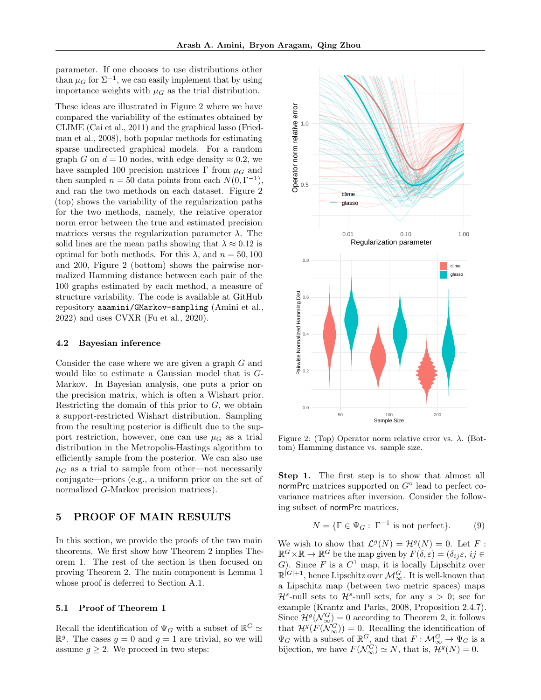parameter. If one chooses to use distributions other than  $\mu_G$  for  $\Sigma^{-1}$ , we can easily implement that by using importance weights with  $\mu$ <sup> $\alpha$ </sup> as the trial distribution.

These ideas are illustrated in Figure 2 where we have compared the variability of the estimates obtained by CLIME (Cai et al., 2011) and the graphical lasso (Friedman et al., 2008), both popular methods for estimating sparse undirected graphical models. For a random graph G on  $d = 10$  nodes, with edge density  $\approx 0.2$ , we have sampled 100 precision matrices Γ from  $\mu$ <sub>G</sub> and then sampled  $n = 50$  data points from each  $N(0, \Gamma^{-1}),$ and ran the two methods on each dataset. Figure 2 (top) shows the variability of the regularization paths for the two methods, namely, the relative operator norm error between the true and estimated precision matrices versus the regularization parameter  $\lambda$ . The solid lines are the mean paths showing that  $\lambda \approx 0.12$  is optimal for both methods. For this  $\lambda$ , and  $n = 50, 100$ and 200, Figure 2 (bottom) shows the pairwise normalized Hamming distance between each pair of the 100 graphs estimated by each method, a measure of structure variability. The code is available at GitHub repository aaamini/GMarkov-sampling (Amini et al., 2022) and uses CVXR (Fu et al., 2020).

#### 4.2 Bayesian inference

Consider the case where we are given a graph G and would like to estimate a Gaussian model that is G-Markov. In Bayesian analysis, one puts a prior on the precision matrix, which is often a Wishart prior. Restricting the domain of this prior to  $G$ , we obtain a support-restricted Wishart distribution. Sampling from the resulting posterior is difficult due to the support restriction, however, one can use  $\mu$ <sup>G</sup> as a trial distribution in the Metropolis-Hastings algorithm to efficiently sample from the posterior. We can also use  $\mu_G$  as a trial to sample from other—not necessarily conjugate—priors (e.g., a uniform prior on the set of normalized G-Markov precision matrices).

# 5 PROOF OF MAIN RESULTS

In this section, we provide the proofs of the two main theorems. We first show how Theorem 2 implies Theorem 1. The rest of the section is then focused on proving Theorem 2. The main component is Lemma 1 whose proof is deferred to Section A.1.

## 5.1 Proof of Theorem 1

Recall the identification of  $\Psi_G$  with a subset of  $\mathbb{R}^G \simeq$  $\mathbb{R}^g$ . The cases  $g = 0$  and  $g = 1$  are trivial, so we will assume  $g \geq 2$ . We proceed in two steps:



Figure 2: (Top) Operator norm relative error vs.  $\lambda$ . (Bottom) Hamming distance vs. sample size.

Step 1. The first step is to show that almost all normPrc matrices supported on  $G^{\circ}$  lead to perfect covariance matrices after inversion. Consider the following subset of normPrc matrices,

$$
N = \{ \Gamma \in \Psi_G : \Gamma^{-1} \text{ is not perfect} \}. \tag{9}
$$

We wish to show that  $\mathcal{L}^g(N) = \mathcal{H}^g(N) = 0$ . Let F:  $\mathbb{R}^G \times \mathbb{R} \to \mathbb{R}^G$  be the map given by  $F(\delta, \varepsilon) = (\delta_{ij}\varepsilon, ij \in$ G). Since F is a  $C^1$  map, it is locally Lipschitz over  $\mathbb{R}^{[G]+1}$ , hence Lipschitz over  $\mathcal{M}_{\infty}^G$ . It is well-known that a Lipschitz map (between two metric spaces) maps  $\mathcal{H}^s$ -null sets to  $\mathcal{H}^s$ -null sets, for any  $s > 0$ ; see for example (Krantz and Parks, 2008, Proposition 2.4.7). Since  $\mathcal{H}^g(\mathcal{N}_{\infty}^G) = 0$  according to Theorem 2, it follows that  $\mathcal{H}^g(F(\mathcal{N}_{\infty}^G)) = 0$ . Recalling the identification of  $\Psi_G$  with a subset of  $\mathbb{R}^G$ , and that  $F: \mathcal{M}_{\infty}^G \to \Psi_G$  is a bijection, we have  $F(\mathcal{N}_{\infty}^G) \simeq N$ , that is,  $\mathcal{H}^g(N) = 0$ .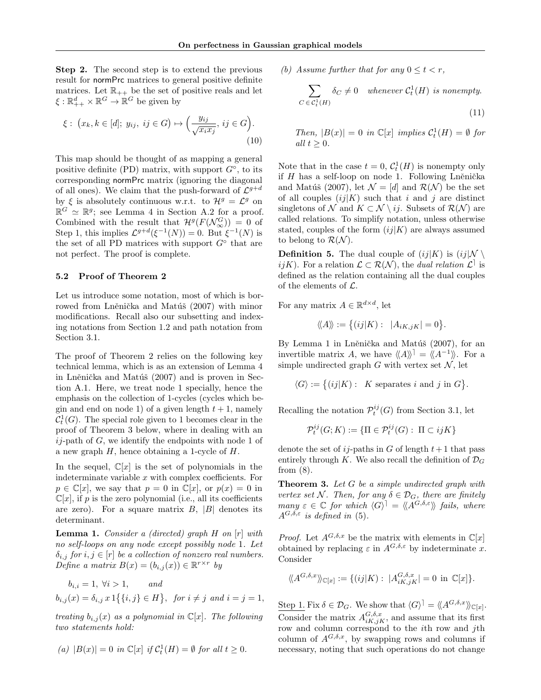Step 2. The second step is to extend the previous result for normPrc matrices to general positive definite matrices. Let  $\mathbb{R}_{++}$  be the set of positive reals and let  $\xi : \mathbb{R}^d_{++} \times \mathbb{R}^G \to \mathbb{R}^G$  be given by

$$
\xi: (x_k, k \in [d]; y_{ij}, ij \in G) \mapsto \left(\frac{y_{ij}}{\sqrt{x_i x_j}}, ij \in G\right).
$$
\n(10)

This map should be thought of as mapping a general positive definite (PD) matrix, with support  $G^{\circ}$ , to its corresponding normPrc matrix (ignoring the diagonal of all ones). We claim that the push-forward of  $\mathcal{L}^{g+d}$ by  $\xi$  is absolutely continuous w.r.t. to  $\mathcal{H}^g = \mathcal{L}^g$  on  $\mathbb{R}^G \simeq \mathbb{R}^g$ ; see Lemma 4 in Section A.2 for a proof. Combined with the result that  $\mathcal{H}^g(F(\mathcal{N}_{\infty}^G)) = 0$  of Step 1, this implies  $\mathcal{L}^{g+d}(\xi^{-1}(N)) = 0$ . But  $\xi^{-1}(N)$  is the set of all PD matrices with support  $G^{\circ}$  that are not perfect. The proof is complete.

#### 5.2 Proof of Theorem 2

Let us introduce some notation, most of which is borrowed from Lněnička and Matúš (2007) with minor modifications. Recall also our subsetting and indexing notations from Section 1.2 and path notation from Section 3.1.

The proof of Theorem 2 relies on the following key technical lemma, which is as an extension of Lemma 4 in Lněnička and Matúš (2007) and is proven in Section A.1. Here, we treat node 1 specially, hence the emphasis on the collection of 1-cycles (cycles which begin and end on node 1) of a given length  $t + 1$ , namely  $\mathcal{C}_t^1(G)$ . The special role given to 1 becomes clear in the proof of Theorem 3 below, where in dealing with an  $ij$ -path of G, we identify the endpoints with node 1 of a new graph  $H$ , hence obtaining a 1-cycle of  $H$ .

In the sequel,  $\mathbb{C}[x]$  is the set of polynomials in the indeterminate variable  $x$  with complex coefficients. For  $p \in \mathbb{C}[x]$ , we say that  $p = 0$  in  $\mathbb{C}[x]$ , or  $p(x) = 0$  in  $\mathbb{C}[x]$ , if p is the zero polynomial (i.e., all its coefficients are zero). For a square matrix  $B$ ,  $|B|$  denotes its determinant.

**Lemma 1.** Consider a (directed) graph  $H$  on  $[r]$  with no self-loops on any node except possibly node 1. Let  $\delta_{i,j}$  for  $i, j \in [r]$  be a collection of nonzero real numbers.  $Define \ a \ matrix \ B(x) = (b_{i,j}(x)) \in \mathbb{R}^{r \times r} \ by$ 

$$
b_{i,i} = 1, \forall i > 1, \qquad and
$$
  

$$
b_{i,j}(x) = \delta_{i,j} x 1\{\{i,j\} \in H\}, \quad \text{for } i \neq j \text{ and } i = j = 1,
$$

treating  $b_{i,j}(x)$  as a polynomial in  $\mathbb{C}[x]$ . The following two statements hold:

$$
(a) \ |B(x)|=0 \ \ in \ {\mathbb C}[x] \ \ if \ {\mathcal C}_t^1(H)=\emptyset \ \ for \ all \ t\geq 0.
$$

(b) Assume further that for any  $0 \leq t \leq r$ ,

$$
\sum_{C \in \mathcal{C}_t^1(H)} \delta_C \neq 0 \quad \text{whenever } \mathcal{C}_t^1(H) \text{ is nonempty.}
$$
\n(11)

Then,  $|B(x)| = 0$  in  $\mathbb{C}[x]$  implies  $\mathcal{C}_t^1(H) = \emptyset$  for all  $t \geq 0$ .

Note that in the case  $t = 0$ ,  $C_t^1(H)$  is nonempty only if  $H$  has a self-loop on node 1. Following Lněnička and Matúš (2007), let  $\mathcal{N} = [d]$  and  $\mathcal{R}(\mathcal{N})$  be the set of all couples  $(ij|K)$  such that i and j are distinct singletons of N and  $K \subset \mathcal{N} \setminus ij$ . Subsets of  $\mathcal{R}(\mathcal{N})$  are called relations. To simplify notation, unless otherwise stated, couples of the form  $(ij|K)$  are always assumed to belong to  $\mathcal{R}(\mathcal{N})$ .

**Definition 5.** The dual couple of  $(ij|K)$  is  $(ij|\mathcal{N}\setminus\mathcal{N})$ *ijK*). For a relation  $\mathcal{L} \subset \mathcal{R}(\mathcal{N})$ , the *dual relation*  $\mathcal{L}^{\dagger}$  is defined as the relation containing all the dual couples of the elements of  $\mathcal{L}$ .

For any matrix  $A \in \mathbb{R}^{d \times d}$ , let

$$
\langle \langle A \rangle \rangle := \big\{ (ij|K) : |A_{iK,jK}| = 0 \big\}.
$$

By Lemma 1 in Lněnička and Matúš (2007), for an invertible matrix A, we have  $\langle A \rangle^{\dagger} = \langle A^{-1} \rangle$ . For a simple undirected graph G with vertex set  $\mathcal{N}$ , let

$$
\langle G \rangle := \{ (ij|K) : K \text{ separates } i \text{ and } j \text{ in } G \}.
$$

Recalling the notation  $\mathcal{P}^{ij}_t(G)$  from Section 3.1, let

$$
\mathcal{P}^{ij}_t(G;K) := \{ \Pi \in \mathcal{P}^{ij}_t(G) : \ \Pi \subset ijK \}
$$

denote the set of  $ij$ -paths in G of length  $t+1$  that pass entirely through K. We also recall the definition of  $\mathcal{D}_G$ from  $(8)$ .

**Theorem 3.** Let G be a simple undirected graph with vertex set N. Then, for any  $\delta \in \mathcal{D}_G$ , there are finitely many  $\varepsilon \in \mathbb{C}$  for which  $\langle G \rangle^{\dagger} = \langle \langle A^{G, \delta, \varepsilon} \rangle \rangle$  fails, where  $A^{G,\delta,\varepsilon}$  is defined in (5).

*Proof.* Let  $A^{G,\delta,x}$  be the matrix with elements in  $\mathbb{C}[x]$ obtained by replacing  $\varepsilon$  in  $A^{G,\delta,\varepsilon}$  by indeterminate x. Consider

$$
\langle\!\langle A^{G,\delta,x}\rangle\!\rangle_{\mathbb{C}[x]}:=\{(ij|K):\;|A^{G,\delta,x}_{iK,jK}|=0\;\mathrm{in}\;\mathbb{C}[x]\}.
$$

Step 1. Fix  $\delta \in \mathcal{D}_G$ . We show that  $\langle G \rangle^{\dagger} = \langle \langle A^{G,\delta,x} \rangle \rangle_{\mathbb{C}[x]}$ . Consider the matrix  $A_{iK,jK}^{G,\delta,x}$ , and assume that its first row and column correspond to the *i*th row and *j*th column of  $A^{G,\delta,x}$ , by swapping rows and columns if necessary, noting that such operations do not change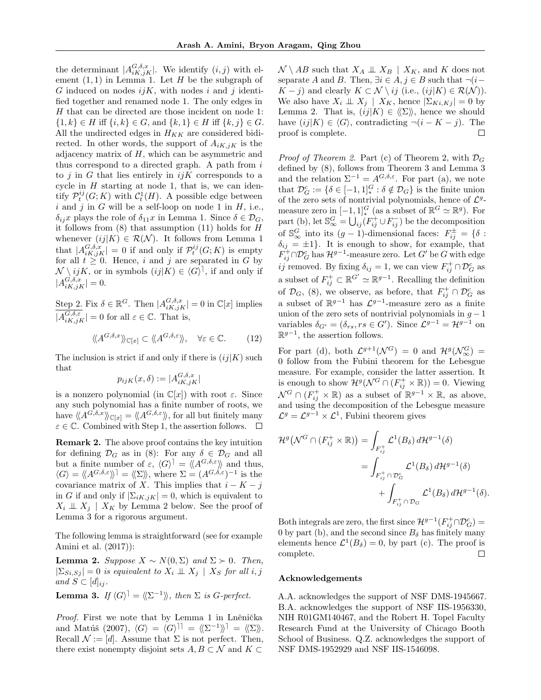the determinant  $|A_{iK,jK}^{G,\delta,x}|$ . We identify  $(i,j)$  with element  $(1, 1)$  in Lemma 1. Let H be the subgraph of G induced on nodes  $ijK$ , with nodes i and j identified together and renamed node 1. The only edges in H that can be directed are those incident on node 1:  $\{1, k\} \in H$  iff  $\{i, k\} \in G$ , and  $\{k, 1\} \in H$  iff  $\{k, j\} \in G$ . All the undirected edges in  $H_{KK}$  are considered bidirected. In other words, the support of  $A_{iK,jK}$  is the adjacency matrix of  $H$ , which can be asymmetric and thus correspond to a directed graph. A path from  $i$ to  $j$  in  $G$  that lies entirely in  $ijK$  corresponds to a cycle in  $H$  starting at node 1, that is, we can identify  $\mathcal{P}^{ij}_t(G;K)$  with  $\mathcal{C}^1_t(H)$ . A possible edge between i and j in G will be a self-loop on node 1 in  $H$ , i.e.,  $\delta_{ij}x$  plays the role of  $\delta_{11}x$  in Lemma 1. Since  $\delta \in \mathcal{D}_G$ , it follows from  $(8)$  that assumption  $(11)$  holds for H whenever  $(ij|K) \in \mathcal{R}(\mathcal{N})$ . It follows from Lemma 1 that  $|A_{iK,jK}^{G,\delta,x}|=0$  if and only if  $\mathcal{P}_t^{ij}(G;K)$  is empty for all  $t \geq 0$ . Hence, i and j are separated in G by  $\mathcal{N} \setminus ijk$ , or in symbols  $(ij|K) \in \langle G \rangle$ , if and only if  $|A_{iK,jK}^{G,\delta,x}|=0.$ 

Step 2. Fix  $\delta \in \mathbb{R}^G$ . Then  $|A_{iK,jK}^{G,\delta,x}| = 0$  in  $\mathbb{C}[x]$  implies  $|A_{iK,jK}^{G,\delta,\varepsilon}|=0$  for all  $\varepsilon\in\mathbb{C}$ . That is,

$$
\langle \langle A^{G,\delta,x} \rangle \rangle_{\mathbb{C}[x]} \subset \langle \langle A^{G,\delta,\varepsilon} \rangle \rangle, \quad \forall \varepsilon \in \mathbb{C}.\tag{12}
$$

The inclusion is strict if and only if there is  $(ij|K)$  such that

$$
p_{ijK}(x,\delta) := |A_{iK,jK}^{G,\delta,x}|
$$

is a nonzero polynomial (in  $\mathbb{C}[x]$ ) with root  $\varepsilon$ . Since any such polynomial has a finite number of roots, we have  $\langle A^{G,\delta,x} \rangle \rangle_{\mathbb{C}[x]} = \langle \langle A^{G,\delta,\varepsilon} \rangle \rangle$ , for all but finitely many  $\varepsilon \in \mathbb{C}$ . Combined with Step 1, the assertion follows.  $\Box$ 

Remark 2. The above proof contains the key intuition for defining  $\mathcal{D}_G$  as in (8): For any  $\delta \in \mathcal{D}_G$  and all but a finite number of  $\varepsilon$ ,  $\langle G \rangle^{\dagger} = \langle A^{G,\delta,\varepsilon} \rangle$  and thus,  $\langle G \rangle = \langle A^{G,\delta,\varepsilon} \rangle = \langle \sum \rangle$ , where  $\Sigma = (A^{G,\delta,\varepsilon})^{-1}$  is the covariance matrix of X. This implies that  $i - K - j$ in G if and only if  $|\Sigma_{iK,jK}| = 0$ , which is equivalent to  $X_i \perp \!\!\!\perp X_j \mid X_K$  by Lemma 2 below. See the proof of Lemma 3 for a rigorous argument.

The following lemma is straightforward (see for example Amini et al. (2017)):

**Lemma 2.** Suppose  $X \sim N(0, \Sigma)$  and  $\Sigma \succ 0$ . Then,  $|\Sigma_{Si,Sj}| = 0$  is equivalent to  $X_i \perp \!\!\! \perp X_j | X_S$  for all i, j and  $S \subset [d]_{ij}$ .

**Lemma 3.** If  $\langle G \rangle^{\dagger} = \langle \langle \Sigma^{-1} \rangle \rangle$ , then  $\Sigma$  is G-perfect.

Proof. First we note that by Lemma 1 in Lněnička and Matúš (2007),  $\langle G \rangle = \langle G \rangle^{11} = \langle \langle \Sigma^{-1} \rangle^{\dagger} = \langle \langle \Sigma \rangle \rangle$ . Recall  $\mathcal{N} := [d]$ . Assume that  $\Sigma$  is not perfect. Then, there exist nonempty disjoint sets  $A, B \subset \mathcal{N}$  and  $K \subset$ 

 $\mathcal{N} \setminus AB$  such that  $X_A \perp \!\!\! \perp X_B \mid X_K$ , and K does not separate A and B. Then,  $\exists i \in A, j \in B$  such that  $\neg(i-\text{const})$  $K - j$ ) and clearly  $K \subset \mathcal{N} \setminus ij$  (i.e.,  $(ij|K) \in \mathcal{R}(\mathcal{N})$ ). We also have  $X_i \perp \!\!\!\! \perp X_j \mid X_K$ , hence  $|\Sigma_{Ki,Kj}| = 0$  by Lemma 2. That is,  $(ij|K) \in \langle\!\langle \Sigma \rangle\!\rangle$ , hence we should have  $(ij|K) \in \langle G \rangle$ , contradicting  $\neg(i - K - j)$ . The proof is complete.  $\Box$ 

*Proof of Theorem 2.* Part (c) of Theorem 2, with  $\mathcal{D}_G$ defined by (8), follows from Theorem 3 and Lemma 3 and the relation  $\Sigma^{-1} = A^{G,\delta,\varepsilon}$ . For part (a), we note that  $\mathcal{D}_G^c := \{ \delta \in [-1,1]_*^G : \delta \notin \mathcal{D}_G \}$  is the finite union of the zero sets of nontrivial polynomials, hence of  $\mathcal{L}^g$ measure zero in  $[-1,1]_*^G$  (as a subset of  $\mathbb{R}^G \simeq \mathbb{R}^g$ ). For part (b), let  $\mathbb{S}_{\infty}^G = \bigcup_{ij} (F_{ij}^+ \cup F_{ij}^-)$  be the decomposition of  $\mathbb{S}_{\infty}^G$  into its  $(g-1)$ -dimensional faces:  $F_{ij}^{\pm} = \{ \delta :$  $\delta_{ij} = \pm 1$ . It is enough to show, for example, that  $F_{ij}^{+} \cap \mathcal{D}_{G}^{c}$  has  $\mathcal{H}^{g-1}$ -measure zero. Let  $G'$  be  $G$  with edge ij removed. By fixing  $\delta_{ij} = 1$ , we can view  $F_{ij}^+ \cap \mathcal{D}_G^c$  as a subset of  $F_{ij}^+ \subset \mathbb{R}^{G'} \simeq \mathbb{R}^{g-1}$ . Recalling the definition of  $\mathcal{D}_G$ , (8), we observe, as before, that  $F_{ij}^{\dagger} \cap \mathcal{D}_G^c$  as a subset of  $\mathbb{R}^{g-1}$  has  $\mathcal{L}^{g-1}$ -measure zero as a finite union of the zero sets of nontrivial polynomials in  $g - 1$ variables  $\delta_{G'} = (\delta_{rs}, rs \in G')$ . Since  $\mathcal{L}^{g-1} = \mathcal{H}^{g-1}$  on  $\mathbb{R}^{g-1}$ , the assertion follows.

For part (d), both  $\mathcal{L}^{g+1}(\mathcal{N}^G) = 0$  and  $\mathcal{H}^g(\mathcal{N}^G_{\infty}) =$ 0 follow from the Fubini theorem for the Lebesgue measure. For example, consider the latter assertion. It is enough to show  $\mathcal{H}^g(\mathcal{N}^G \cap (F_{ij}^+ \times \mathbb{R})) = 0$ . Viewing  $\mathcal{N}^G \cap (F_{ij}^+ \times \mathbb{R})$  as a subset of  $\mathbb{R}^{g-1} \times \mathbb{R}$ , as above, and using the decomposition of the Lebesgue measure  $\mathcal{L}^g = \mathcal{L}^{g-1} \times \mathcal{L}^1$ , Fubini theorem gives

$$
\mathcal{H}^g(\mathcal{N}^G \cap (F_{ij}^+ \times \mathbb{R})) = \int_{F_{ij}^+} \mathcal{L}^1(B_\delta) d\mathcal{H}^{g-1}(\delta)
$$
  
= 
$$
\int_{F_{ij}^+ \cap \mathcal{D}_G^c} \mathcal{L}^1(B_\delta) d\mathcal{H}^{g-1}(\delta)
$$

$$
+ \int_{F_{ij}^+ \cap \mathcal{D}_G} \mathcal{L}^1(B_\delta) d\mathcal{H}^{g-1}(\delta).
$$

Both integrals are zero, the first since  $\mathcal{H}^{g-1}(F_{ij}^+\cap \mathcal{D}_G^c)$  = 0 by part (b), and the second since  $B_{\delta}$  has finitely many elements hence  $\mathcal{L}^1(B_\delta) = 0$ , by part (c). The proof is complete.  $\Box$ 

#### Acknowledgements

A.A. acknowledges the support of NSF DMS-1945667. B.A. acknowledges the support of NSF IIS-1956330, NIH R01GM140467, and the Robert H. Topel Faculty Research Fund at the University of Chicago Booth School of Business. Q.Z. acknowledges the support of NSF DMS-1952929 and NSF IIS-1546098.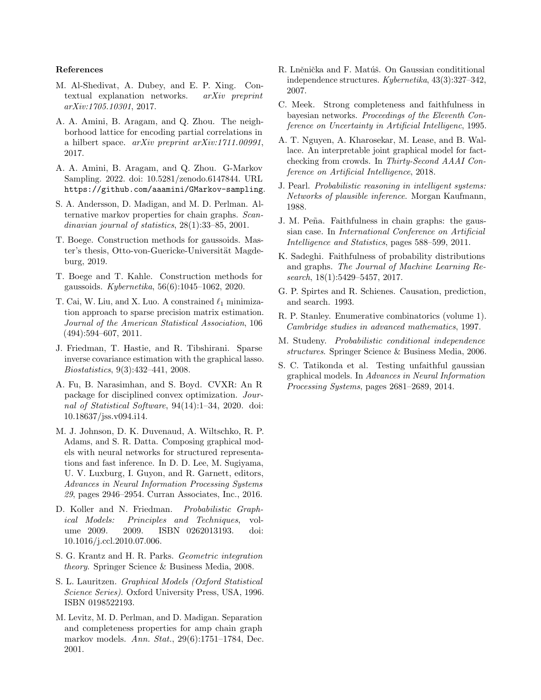#### References

- M. Al-Shedivat, A. Dubey, and E. P. Xing. Contextual explanation networks. arXiv preprint arXiv:1705.10301, 2017.
- A. A. Amini, B. Aragam, and Q. Zhou. The neighborhood lattice for encoding partial correlations in a hilbert space.  $arXiv$  preprint  $arXiv:1711.00991$ , 2017.
- A. A. Amini, B. Aragam, and Q. Zhou. G-Markov Sampling. 2022. doi: 10.5281/zenodo.6147844. URL https://github.com/aaamini/GMarkov-sampling.
- S. A. Andersson, D. Madigan, and M. D. Perlman. Alternative markov properties for chain graphs. Scandinavian journal of statistics, 28(1):33–85, 2001.
- T. Boege. Construction methods for gaussoids. Master's thesis, Otto-von-Guericke-Universität Magdeburg, 2019.
- T. Boege and T. Kahle. Construction methods for gaussoids. Kybernetika, 56(6):1045–1062, 2020.
- T. Cai, W. Liu, and X. Luo. A constrained  $\ell_1$  minimization approach to sparse precision matrix estimation. Journal of the American Statistical Association, 106 (494):594–607, 2011.
- J. Friedman, T. Hastie, and R. Tibshirani. Sparse inverse covariance estimation with the graphical lasso. Biostatistics, 9(3):432–441, 2008.
- A. Fu, B. Narasimhan, and S. Boyd. CVXR: An R package for disciplined convex optimization. Journal of Statistical Software, 94(14):1–34, 2020. doi: 10.18637/jss.v094.i14.
- M. J. Johnson, D. K. Duvenaud, A. Wiltschko, R. P. Adams, and S. R. Datta. Composing graphical models with neural networks for structured representations and fast inference. In D. D. Lee, M. Sugiyama, U. V. Luxburg, I. Guyon, and R. Garnett, editors, Advances in Neural Information Processing Systems 29, pages 2946–2954. Curran Associates, Inc., 2016.
- D. Koller and N. Friedman. Probabilistic Graphical Models: Principles and Techniques, volume 2009. 2009. ISBN 0262013193. doi: 10.1016/j.ccl.2010.07.006.
- S. G. Krantz and H. R. Parks. Geometric integration theory. Springer Science & Business Media, 2008.
- S. L. Lauritzen. Graphical Models (Oxford Statistical Science Series). Oxford University Press, USA, 1996. ISBN 0198522193.
- M. Levitz, M. D. Perlman, and D. Madigan. Separation and completeness properties for amp chain graph markov models. Ann. Stat., 29(6):1751–1784, Dec. 2001.
- R. Lněnička and F. Matúš. On Gaussian condititional independence structures. Kybernetika, 43(3):327–342, 2007.
- C. Meek. Strong completeness and faithfulness in bayesian networks. Proceedings of the Eleventh Conference on Uncertainty in Artificial Intelligenc, 1995.
- A. T. Nguyen, A. Kharosekar, M. Lease, and B. Wallace. An interpretable joint graphical model for factchecking from crowds. In Thirty-Second AAAI Conference on Artificial Intelligence, 2018.
- J. Pearl. Probabilistic reasoning in intelligent systems: Networks of plausible inference. Morgan Kaufmann, 1988.
- J. M. Peña. Faithfulness in chain graphs: the gaussian case. In International Conference on Artificial Intelligence and Statistics, pages 588–599, 2011.
- K. Sadeghi. Faithfulness of probability distributions and graphs. The Journal of Machine Learning Research, 18(1):5429–5457, 2017.
- G. P. Spirtes and R. Schienes. Causation, prediction, and search. 1993.
- R. P. Stanley. Enumerative combinatorics (volume 1). Cambridge studies in advanced mathematics, 1997.
- M. Studeny. Probabilistic conditional independence structures. Springer Science & Business Media, 2006.
- S. C. Tatikonda et al. Testing unfaithful gaussian graphical models. In Advances in Neural Information Processing Systems, pages 2681–2689, 2014.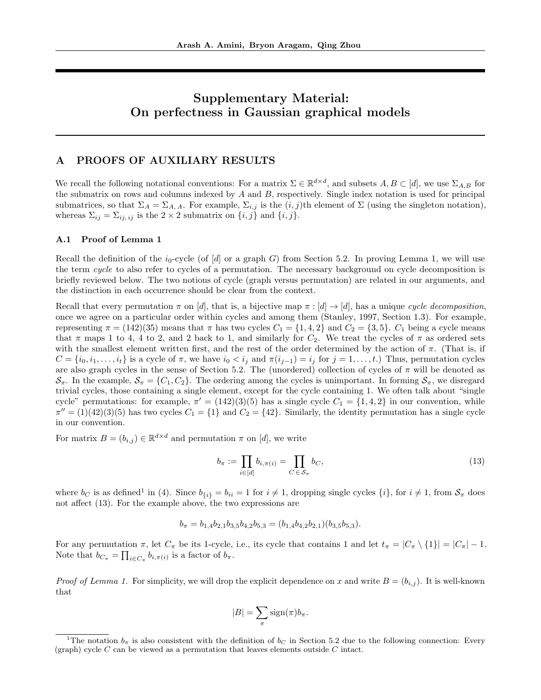# Supplementary Material: On perfectness in Gaussian graphical models

# A PROOFS OF AUXILIARY RESULTS

We recall the following notational conventions: For a matrix  $\Sigma \in \mathbb{R}^{d \times d}$ , and subsets  $A, B \subset [d]$ , we use  $\Sigma_{A,B}$  for the submatrix on rows and columns indexed by  $A$  and  $B$ , respectively. Single index notation is used for principal submatrices, so that  $\Sigma_A = \Sigma_{A, A}$ . For example,  $\Sigma_{i,j}$  is the  $(i, j)$ th element of  $\Sigma$  (using the singleton notation), whereas  $\Sigma_{ij} = \Sigma_{ij,ij}$  is the  $2 \times 2$  submatrix on  $\{i, j\}$  and  $\{i, j\}$ .

### A.1 Proof of Lemma 1

Recall the definition of the  $i_0$ -cycle (of [d] or a graph G) from Section 5.2. In proving Lemma 1, we will use the term cycle to also refer to cycles of a permutation. The necessary background on cycle decomposition is briefly reviewed below. The two notions of cycle (graph versus permutation) are related in our arguments, and the distinction in each occurrence should be clear from the context.

Recall that every permutation  $\pi$  on [d], that is, a bijective map  $\pi : [d] \to [d]$ , has a unique cycle decomposition, once we agree on a particular order within cycles and among them (Stanley, 1997, Section 1.3). For example, representing  $\pi = (142)(35)$  means that  $\pi$  has two cycles  $C_1 = \{1, 4, 2\}$  and  $C_2 = \{3, 5\}$ .  $C_1$  being a cycle means that  $\pi$  maps 1 to 4, 4 to 2, and 2 back to 1, and similarly for  $C_2$ . We treat the cycles of  $\pi$  as ordered sets with the smallest element written first, and the rest of the order determined by the action of  $\pi$ . (That is, if  $C = \{i_0, i_1, \ldots, i_t\}$  is a cycle of  $\pi$ , we have  $i_0 < i_j$  and  $\pi(i_{j-1}) = i_j$  for  $j = 1, \ldots, t$ .) Thus, permutation cycles are also graph cycles in the sense of Section 5.2. The (unordered) collection of cycles of  $\pi$  will be denoted as  $\mathcal{S}_{\pi}$ . In the example,  $\mathcal{S}_{\pi} = \{C_1, C_2\}$ . The ordering among the cycles is unimportant. In forming  $\mathcal{S}_{\pi}$ , we disregard trivial cycles, those containing a single element, except for the cycle containing 1. We often talk about "single cycle" permutations: for example,  $\pi' = (142)(3)(5)$  has a single cycle  $C_1 = \{1, 4, 2\}$  in our convention, while  $\pi'' = (1)(42)(3)(5)$  has two cycles  $C_1 = \{1\}$  and  $C_2 = \{42\}$ . Similarly, the identity permutation has a single cycle in our convention.

For matrix  $B = (b_{i,j}) \in \mathbb{R}^{d \times d}$  and permutation  $\pi$  on [d], we write

$$
b_{\pi} := \prod_{i \in [d]} b_{i,\pi(i)} = \prod_{C \in \mathcal{S}_{\pi}} b_C,
$$
\n(13)

where  $b_C$  is as defined<sup>1</sup> in (4). Since  $b_{\{i\}} = b_{ii} = 1$  for  $i \neq 1$ , dropping single cycles  $\{i\}$ , for  $i \neq 1$ , from  $S_\pi$  does not affect (13). For the example above, the two expressions are

$$
b_{\pi} = b_{1,4}b_{2,1}b_{3,5}b_{4,2}b_{5,3} = (b_{1,4}b_{4,2}b_{2,1})(b_{3,5}b_{5,3}).
$$

For any permutation  $\pi$ , let  $C_{\pi}$  be its 1-cycle, i.e., its cycle that contains 1 and let  $t_{\pi} = |C_{\pi} \setminus \{1\}| = |C_{\pi}| - 1$ . Note that  $b_{C_{\pi}} = \prod_{i \in C_{\pi}} b_{i, \pi(i)}$  is a factor of  $b_{\pi}$ .

*Proof of Lemma 1.* For simplicity, we will drop the explicit dependence on x and write  $B = (b_{i,j})$ . It is well-known that

$$
|B| = \sum_{\pi} sign(\pi)b_{\pi}.
$$

<sup>&</sup>lt;sup>1</sup>The notation  $b<sub>\pi</sub>$  is also consistent with the definition of  $b<sub>C</sub>$  in Section 5.2 due to the following connection: Every (graph) cycle  $C$  can be viewed as a permutation that leaves elements outside  $C$  intact.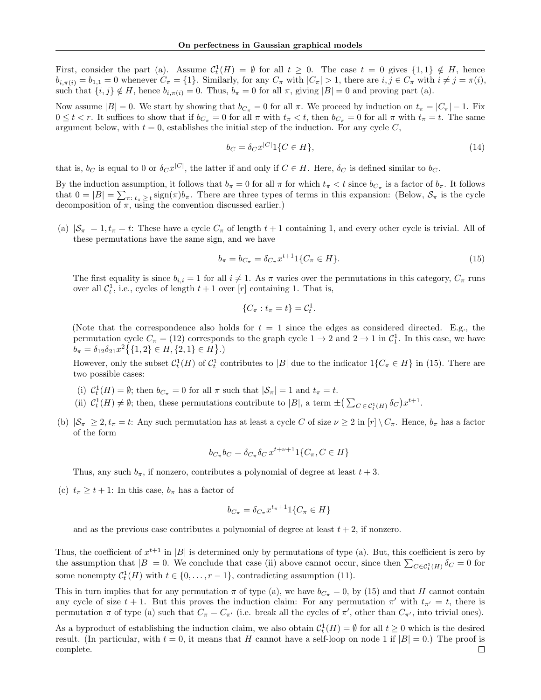First, consider the part (a). Assume  $C_t^1(H) = \emptyset$  for all  $t \geq 0$ . The case  $t = 0$  gives  $\{1,1\} \notin H$ , hence  $b_{i,\pi(i)} = b_{1,1} = 0$  whenever  $C_{\pi} = \{1\}$ . Similarly, for any  $C_{\pi}$  with  $|C_{\pi}| > 1$ , there are  $i, j \in C_{\pi}$  with  $i \neq j = \pi(i)$ , such that  $\{i, j\} \notin H$ , hence  $b_{i,\pi(i)} = 0$ . Thus,  $b_{\pi} = 0$  for all  $\pi$ , giving  $|B| = 0$  and proving part (a).

Now assume  $|B| = 0$ . We start by showing that  $b_{C_{\pi}} = 0$  for all  $\pi$ . We proceed by induction on  $t_{\pi} = |C_{\pi}| - 1$ . Fix  $0 \leq t < r$ . It suffices to show that if  $b_{C_{\pi}} = 0$  for all  $\pi$  with  $t_{\pi} < t$ , then  $b_{C_{\pi}} = 0$  for all  $\pi$  with  $t_{\pi} = t$ . The same argument below, with  $t = 0$ , establishes the initial step of the induction. For any cycle C,

$$
b_C = \delta_C x^{|C|} 1\{C \in H\},\tag{14}
$$

that is,  $b_C$  is equal to 0 or  $\delta_C x^{|C|}$ , the latter if and only if  $C \in H$ . Here,  $\delta_C$  is defined similar to  $b_C$ .

By the induction assumption, it follows that  $b_{\pi} = 0$  for all  $\pi$  for which  $t_{\pi} < t$  since  $b_{C_{\pi}}$  is a factor of  $b_{\pi}$ . It follows that  $0 = |B| = \sum_{\pi: t_{\pi} \geq t} sign(\pi) b_{\pi}$ . There are three types of terms in this expansion: (Below,  $S_{\pi}$  is the cycle decomposition of  $\pi$ , using the convention discussed earlier.)

(a)  $|\mathcal{S}_{\pi}| = 1, t_{\pi} = t$ : These have a cycle  $C_{\pi}$  of length  $t + 1$  containing 1, and every other cycle is trivial. All of these permutations have the same sign, and we have

$$
b_{\pi} = b_{C_{\pi}} = \delta_{C_{\pi}} x^{t+1} 1\{C_{\pi} \in H\}.
$$
\n(15)

The first equality is since  $b_{i,i} = 1$  for all  $i \neq 1$ . As  $\pi$  varies over the permutations in this category,  $C_{\pi}$  runs over all  $C_t^1$ , i.e., cycles of length  $t+1$  over [r] containing 1. That is,

$$
\{C_\pi : t_\pi = t\} = \mathcal{C}_t^1.
$$

(Note that the correspondence also holds for  $t = 1$  since the edges as considered directed. E.g., the permutation cycle  $C_{\pi} = (12)$  corresponds to the graph cycle  $1 \to 2$  and  $2 \to 1$  in  $C_1^1$ . In this case, we have  $b_{\pi} = \delta_{12} \delta_{21} x^2 \{ \{1,2\} \in H, \{2,1\} \in H \}.$ 

However, only the subset  $C_t^1(H)$  of  $C_t^1$  contributes to |B| due to the indicator  $1\{C_\pi \in H\}$  in (15). There are two possible cases:

- (i)  $C_t^1(H) = \emptyset$ ; then  $b_{C_{\pi}} = 0$  for all  $\pi$  such that  $|\mathcal{S}_{\pi}| = 1$  and  $t_{\pi} = t$ .
- (ii)  $C_t^1(H) \neq \emptyset$ ; then, these permutations contribute to |B|, a term  $\pm \left( \sum_{C \in \mathcal{C}_t^1(H)} \delta_C \right) x^{t+1}$ .
- (b)  $|\mathcal{S}_\pi| \geq 2$ ,  $t_\pi = t$ : Any such permutation has at least a cycle C of size  $\nu \geq 2$  in  $[r] \setminus C_\pi$ . Hence,  $b_\pi$  has a factor of the form

$$
b_{C_{\pi}}b_C = \delta_{C_{\pi}}\delta_C x^{t+\nu+1}1\{C_{\pi}, C \in H\}
$$

Thus, any such  $b_{\pi}$ , if nonzero, contributes a polynomial of degree at least  $t + 3$ .

(c)  $t_{\pi} \geq t + 1$ : In this case,  $b_{\pi}$  has a factor of

$$
b_{C_{\pi}} = \delta_{C_{\pi}} x^{t_{\pi}+1} 1\{C_{\pi} \in H\}
$$

and as the previous case contributes a polynomial of degree at least  $t + 2$ , if nonzero.

Thus, the coefficient of  $x^{t+1}$  in |B| is determined only by permutations of type (a). But, this coefficient is zero by the assumption that  $|B| = 0$ . We conclude that case (ii) above cannot occur, since then  $\sum_{C \in \mathcal{C}_t^1(H)} \delta_C = 0$  for some nonempty  $C_t^1(H)$  with  $t \in \{0, ..., r-1\}$ , contradicting assumption (11).

This in turn implies that for any permutation  $\pi$  of type (a), we have  $b_{C_{\pi}} = 0$ , by (15) and that H cannot contain any cycle of size  $t + 1$ . But this proves the induction claim: For any permutation  $\pi'$  with  $t_{\pi'} = t$ , there is permutation  $\pi$  of type (a) such that  $C_{\pi} = C_{\pi'}$  (i.e. break all the cycles of  $\pi'$ , other than  $C_{\pi'}$ , into trivial ones).

As a byproduct of establishing the induction claim, we also obtain  $C_t^1(H) = \emptyset$  for all  $t \geq 0$  which is the desired result. (In particular, with  $t = 0$ , it means that H cannot have a self-loop on node 1 if  $|B| = 0$ .) The proof is complete. $\Box$